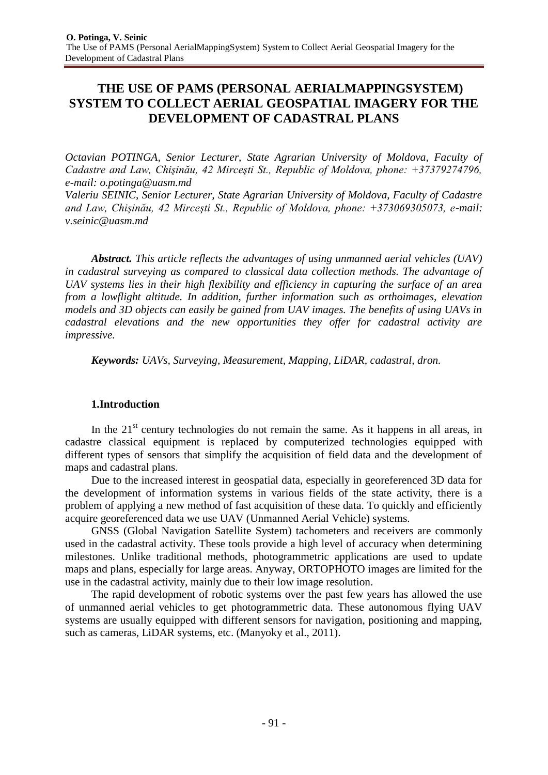# **THE USE OF PAMS (PERSONAL AERIALMAPPINGSYSTEM) SYSTEM TO COLLECT AERIAL GEOSPATIAL IMAGERY FOR THE DEVELOPMENT OF CADASTRAL PLANS**

*Octavian POTINGA, Senior Lecturer, State Agrarian University of Moldova, Faculty of Cadastre and Law, Chişinău, 42 Mirceşti St., Republic of Moldova, phone: +37379274796, e-mail: [o.potinga@uasm.md](mailto:o.potinga@uasm.md)*

*Valeriu SEINIC, Senior Lecturer, State Agrarian University of Moldova, Faculty of Cadastre and Law, Chişinău, 42 Mirceşti St., Republic of Moldova, phone: +373069305073, e-mail: [v.seinic@uasm.md](mailto:v.seinic@uasm.md)*

*Abstract. This article reflects the advantages of using unmanned aerial vehicles (UAV) in cadastral surveying as compared to classical data collection methods. The advantage of UAV systems lies in their high flexibility and efficiency in capturing the surface of an area from a lowflight altitude. In addition, further information such as orthoimages, elevation models and 3D objects can easily be gained from UAV images. The benefits of using UAVs in cadastral elevations and the new opportunities they offer for cadastral activity are impressive.*

*Keywords: UAVs, Surveying, Measurement, Mapping, LiDAR, cadastral, dron.*

# **1.Introduction**

In the  $21<sup>st</sup>$  century technologies do not remain the same. As it happens in all areas, in cadastre classical equipment is replaced by computerized technologies equipped with different types of sensors that simplify the acquisition of field data and the development of maps and cadastral plans.

Due to the increased interest in geospatial data, especially in georeferenced 3D data for the development of information systems in various fields of the state activity, there is a problem of applying a new method of fast acquisition of these data. To quickly and efficiently acquire georeferenced data we use UAV (Unmanned Aerial Vehicle) systems.

GNSS (Global Navigation Satellite System) tachometers and receivers are commonly used in the cadastral activity. These tools provide a high level of accuracy when determining milestones. Unlike traditional methods, photogrammetric applications are used to update maps and plans, especially for large areas. Anyway, ORTOPHOTO images are limited for the use in the cadastral activity, mainly due to their low image resolution.

The rapid development of robotic systems over the past few years has allowed the use of unmanned aerial vehicles to get photogrammetric data. These autonomous flying UAV systems are usually equipped with different sensors for navigation, positioning and mapping, such as cameras, LiDAR systems, etc. (Manyoky et al., 2011).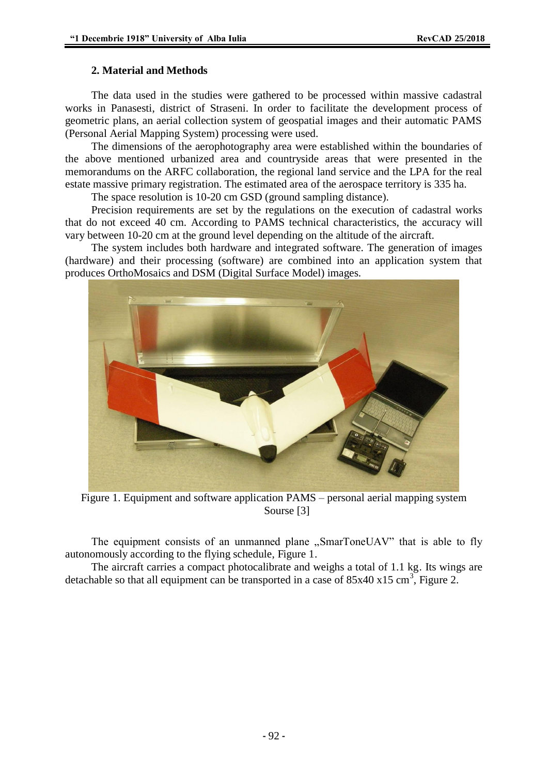#### **2. Material and Methods**

The data used in the studies were gathered to be processed within massive cadastral works in Panasesti, district of Straseni. In order to facilitate the development process of geometric plans, an aerial collection system of geospatial images and their automatic PAMS (Personal Aerial Mapping System) processing were used.

The dimensions of the aerophotography area were established within the boundaries of the above mentioned urbanized area and countryside areas that were presented in the memorandums on the ARFC collaboration, the regional land service and the LPA for the real estate massive primary registration. The estimated area of the aerospace territory is 335 ha.

The space resolution is 10-20 cm GSD (ground sampling distance).

Precision requirements are set by the regulations on the execution of cadastral works that do not exceed 40 cm. According to PAMS technical characteristics, the accuracy will vary between 10-20 cm at the ground level depending on the altitude of the aircraft.

The system includes both hardware and integrated software. The generation of images (hardware) and their processing (software) are combined into an application system that produces OrthoMosaics and DSM (Digital Surface Model) images.



Figure 1. Equipment and software application PAMS – personal aerial mapping system Sourse [3]

The equipment consists of an unmanned plane "SmarToneUAV" that is able to fly autonomously according to the flying schedule, Figure 1.

The aircraft carries a compact photocalibrate and weighs a total of 1.1 kg. Its wings are detachable so that all equipment can be transported in a case of  $85x40x15$  cm<sup>3</sup>, Figure 2.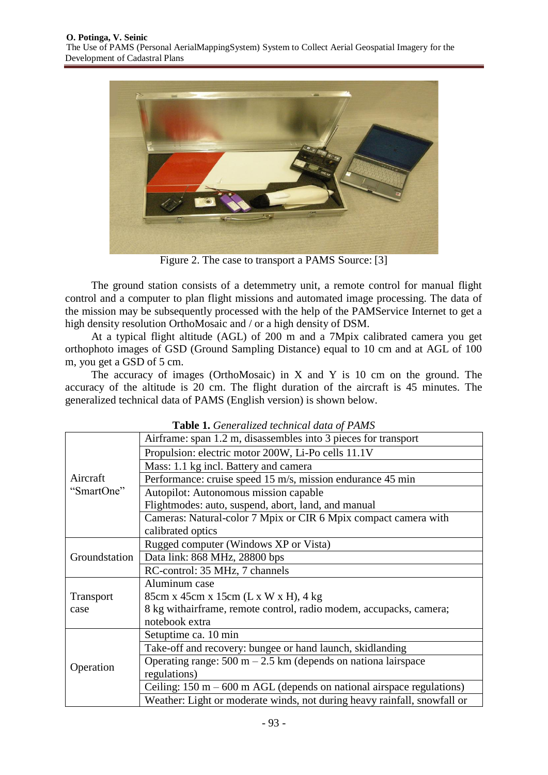

Figure 2. The case to transport a PAMS Source: [3]

The ground station consists of a detemmetry unit, a remote control for manual flight control and a computer to plan flight missions and automated image processing. The data of the mission may be subsequently processed with the help of the PAMService Internet to get a high density resolution OrthoMosaic and / or a high density of DSM.

At a typical flight altitude (AGL) of 200 m and a 7Mpix calibrated camera you get orthophoto images of GSD (Ground Sampling Distance) equal to 10 cm and at AGL of 100 m, you get a GSD of 5 cm.

The accuracy of images (OrthoMosaic) in  $X$  and  $Y$  is 10 cm on the ground. The accuracy of the altitude is 20 cm. The flight duration of the aircraft is 45 minutes. The generalized technical data of PAMS (English version) is shown below.

| <b>Table 1.</b> Generalized technical data of PAMS |                                                                                         |  |  |  |  |  |
|----------------------------------------------------|-----------------------------------------------------------------------------------------|--|--|--|--|--|
| Aircraft<br>"SmartOne"                             | Airframe: span 1.2 m, disassembles into 3 pieces for transport                          |  |  |  |  |  |
|                                                    | Propulsion: electric motor 200W, Li-Po cells 11.1V                                      |  |  |  |  |  |
|                                                    | Mass: 1.1 kg incl. Battery and camera                                                   |  |  |  |  |  |
|                                                    | Performance: cruise speed 15 m/s, mission endurance 45 min                              |  |  |  |  |  |
|                                                    | Autopilot: Autonomous mission capable                                                   |  |  |  |  |  |
|                                                    | Flightmodes: auto, suspend, abort, land, and manual                                     |  |  |  |  |  |
|                                                    | Cameras: Natural-color 7 Mpix or CIR 6 Mpix compact camera with                         |  |  |  |  |  |
|                                                    | calibrated optics                                                                       |  |  |  |  |  |
| Groundstation                                      | Rugged computer (Windows XP or Vista)                                                   |  |  |  |  |  |
|                                                    | Data link: 868 MHz, 28800 bps                                                           |  |  |  |  |  |
|                                                    | RC-control: 35 MHz, 7 channels                                                          |  |  |  |  |  |
|                                                    | Aluminum case                                                                           |  |  |  |  |  |
| Transport                                          | 85cm x 45cm x 15cm (L x W x H), 4 kg                                                    |  |  |  |  |  |
| case                                               | 8 kg withairframe, remote control, radio modem, accupacks, camera;                      |  |  |  |  |  |
|                                                    | notebook extra                                                                          |  |  |  |  |  |
| Operation                                          | Setuptime ca. 10 min                                                                    |  |  |  |  |  |
|                                                    | Take-off and recovery: bungee or hand launch, skidlanding                               |  |  |  |  |  |
|                                                    | Operating range: $500 \text{ m} - 2.5 \text{ km}$ (depends on nationa lairspace         |  |  |  |  |  |
|                                                    | regulations)                                                                            |  |  |  |  |  |
|                                                    | Ceiling: $150 \text{ m} - 600 \text{ m}$ AGL (depends on national airspace regulations) |  |  |  |  |  |
|                                                    | Weather: Light or moderate winds, not during heavy rainfall, snowfall or                |  |  |  |  |  |

**Table 1.** *Generalized technical data of PAMS*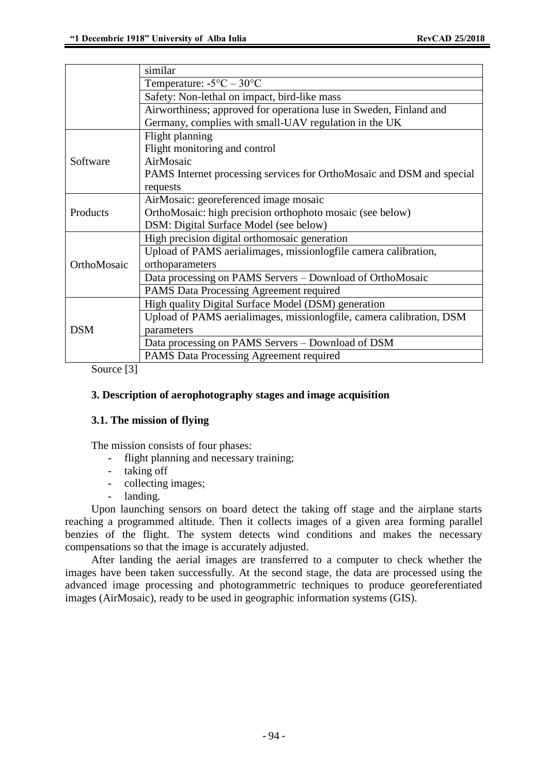|             | similar                                                               |  |  |  |  |  |  |
|-------------|-----------------------------------------------------------------------|--|--|--|--|--|--|
|             | Temperature: $-5^{\circ}C - 30^{\circ}C$                              |  |  |  |  |  |  |
|             | Safety: Non-lethal on impact, bird-like mass                          |  |  |  |  |  |  |
|             | Airworthiness; approved for operationa luse in Sweden, Finland and    |  |  |  |  |  |  |
|             | Germany, complies with small-UAV regulation in the UK                 |  |  |  |  |  |  |
| Software    | Flight planning                                                       |  |  |  |  |  |  |
|             | Flight monitoring and control                                         |  |  |  |  |  |  |
|             | AirMosaic                                                             |  |  |  |  |  |  |
|             | PAMS Internet processing services for OrthoMosaic and DSM and special |  |  |  |  |  |  |
|             | requests                                                              |  |  |  |  |  |  |
| Products    | AirMosaic: georeferenced image mosaic                                 |  |  |  |  |  |  |
|             | OrthoMosaic: high precision orthophoto mosaic (see below)             |  |  |  |  |  |  |
|             | DSM: Digital Surface Model (see below)                                |  |  |  |  |  |  |
|             | High precision digital orthomosaic generation                         |  |  |  |  |  |  |
| OrthoMosaic | Upload of PAMS aerialimages, missionlogfile camera calibration,       |  |  |  |  |  |  |
|             | orthoparameters                                                       |  |  |  |  |  |  |
|             | Data processing on PAMS Servers – Download of OrthoMosaic             |  |  |  |  |  |  |
|             | <b>PAMS Data Processing Agreement required</b>                        |  |  |  |  |  |  |
| <b>DSM</b>  | High quality Digital Surface Model (DSM) generation                   |  |  |  |  |  |  |
|             | Upload of PAMS aerialimages, missionlogfile, camera calibration, DSM  |  |  |  |  |  |  |
|             | parameters                                                            |  |  |  |  |  |  |
|             | Data processing on PAMS Servers – Download of DSM                     |  |  |  |  |  |  |
|             | PAMS Data Processing Agreement required                               |  |  |  |  |  |  |

Source [3]

#### **3. Description of aerophotography stages and image acquisition**

#### **3.1. The mission of flying**

The mission consists of four phases:

- flight planning and necessary training;
- taking off
- collecting images;
- landing.

Upon launching sensors on board detect the taking off stage and the airplane starts reaching a programmed altitude. Then it collects images of a given area forming parallel benzies of the flight. The system detects wind conditions and makes the necessary compensations so that the image is accurately adjusted.

After landing the aerial images are transferred to a computer to check whether the images have been taken successfully. At the second stage, the data are processed using the advanced image processing and photogrammetric techniques to produce georeferentiated images (AirMosaic), ready to be used in geographic information systems (GIS).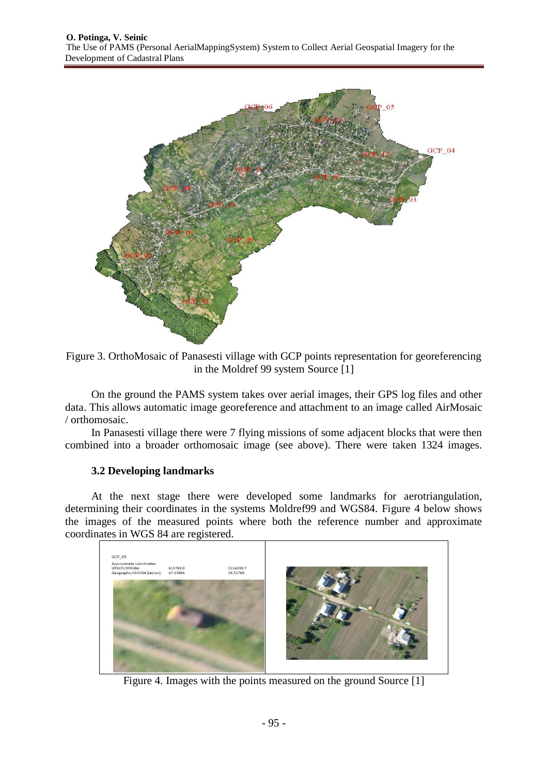

Figure 3. OrthoMosaic of Panasesti village with GCP points representation for georeferencing in the Moldref 99 system Source [1]

On the ground the PAMS system takes over aerial images, their GPS log files and other data. This allows automatic image georeference and attachment to an image called AirMosaic / orthomosaic.

In Panasesti village there were 7 flying missions of some adjacent blocks that were then combined into a broader orthomosaic image (see above). There were taken 1324 images.

#### **3.2 Developing landmarks**

At the next stage there were developed some landmarks for aerotriangulation, determining their coordinates in the systems Moldref99 and WGS84. Figure 4 below shows the images of the measured points where both the reference number and approximate coordinates in WGS 84 are registered.



Figure 4. Images with the points measured on the ground Source [1]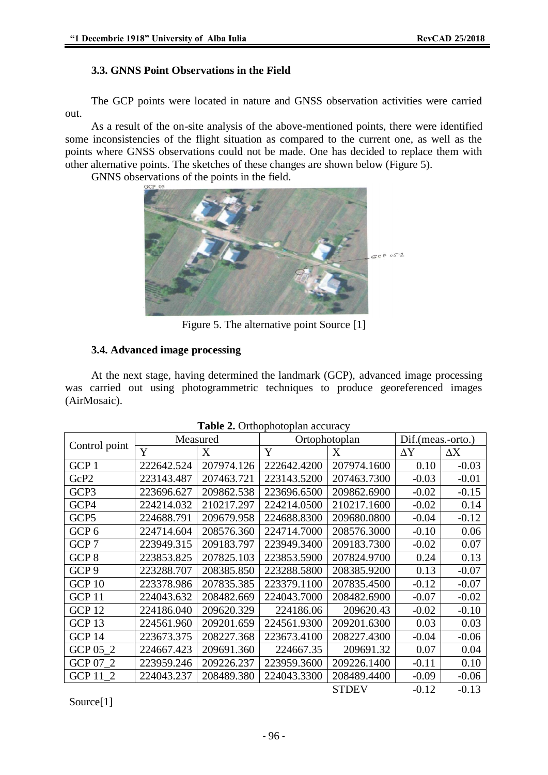### **3.3. GNNS Point Observations in the Field**

The GCP points were located in nature and GNSS observation activities were carried out.

As a result of the on-site analysis of the above-mentioned points, there were identified some inconsistencies of the flight situation as compared to the current one, as well as the points where GNSS observations could not be made. One has decided to replace them with other alternative points. The sketches of these changes are shown below (Figure 5).

GNNS observations of the points in the field.



Figure 5. The alternative point Source [1]

# **3.4. Advanced image processing**

At the next stage, having determined the landmark (GCP), advanced image processing was carried out using photogrammetric techniques to produce georeferenced images (AirMosaic).

| Control point     | Measured   |            | Ortophotoplan |              | Dif.(meas.-orto.) |            |
|-------------------|------------|------------|---------------|--------------|-------------------|------------|
|                   | Y          | X          | Y             | X            | $\Delta Y$        | $\Delta X$ |
| GCP 1             | 222642.524 | 207974.126 | 222642.4200   | 207974.1600  | 0.10              | $-0.03$    |
| GcP2              | 223143.487 | 207463.721 | 223143.5200   | 207463.7300  | $-0.03$           | $-0.01$    |
| GCP3              | 223696.627 | 209862.538 | 223696.6500   | 209862.6900  | $-0.02$           | $-0.15$    |
| GCP4              | 224214.032 | 210217.297 | 224214.0500   | 210217.1600  | $-0.02$           | 0.14       |
| GCP5              | 224688.791 | 209679.958 | 224688.8300   | 209680.0800  | $-0.04$           | $-0.12$    |
| GCP <sub>6</sub>  | 224714.604 | 208576.360 | 224714.7000   | 208576.3000  | $-0.10$           | 0.06       |
| GCP <sub>7</sub>  | 223949.315 | 209183.797 | 223949.3400   | 209183.7300  | $-0.02$           | 0.07       |
| GCP <sub>8</sub>  | 223853.825 | 207825.103 | 223853.5900   | 207824.9700  | 0.24              | 0.13       |
| GCP <sub>9</sub>  | 223288.707 | 208385.850 | 223288.5800   | 208385.9200  | 0.13              | $-0.07$    |
| GCP <sub>10</sub> | 223378.986 | 207835.385 | 223379.1100   | 207835.4500  | $-0.12$           | $-0.07$    |
| GCP <sub>11</sub> | 224043.632 | 208482.669 | 224043.7000   | 208482.6900  | $-0.07$           | $-0.02$    |
| <b>GCP 12</b>     | 224186.040 | 209620.329 | 224186.06     | 209620.43    | $-0.02$           | $-0.10$    |
| GCP <sub>13</sub> | 224561.960 | 209201.659 | 224561.9300   | 209201.6300  | 0.03              | 0.03       |
| GCP <sub>14</sub> | 223673.375 | 208227.368 | 223673.4100   | 208227.4300  | $-0.04$           | $-0.06$    |
| GCP 05 2          | 224667.423 | 209691.360 | 224667.35     | 209691.32    | 0.07              | 0.04       |
| GCP 07_2          | 223959.246 | 209226.237 | 223959.3600   | 209226.1400  | $-0.11$           | 0.10       |
| GCP 11 2          | 224043.237 | 208489.380 | 224043.3300   | 208489.4400  | $-0.09$           | $-0.06$    |
|                   |            |            |               | <b>STDEV</b> | $-0.12$           | $-0.13$    |

|  |  | Table 2. Orthophotoplan accuracy |  |
|--|--|----------------------------------|--|
|--|--|----------------------------------|--|

Source[1]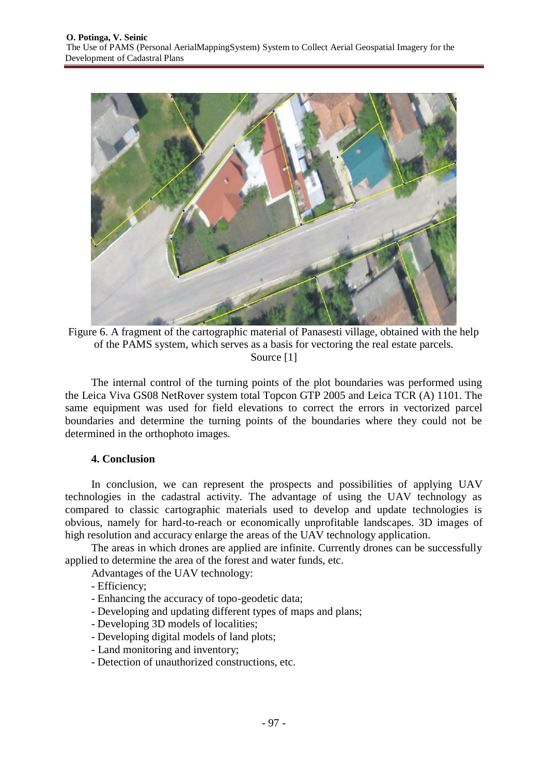

Figure 6. A fragment of the cartographic material of Panasesti village, obtained with the help of the PAMS system, which serves as a basis for vectoring the real estate parcels. Source [1]

The internal control of the turning points of the plot boundaries was performed using the Leica Viva GS08 NetRover system total Topcon GTP 2005 and Leica TCR (A) 1101. The same equipment was used for field elevations to correct the errors in vectorized parcel boundaries and determine the turning points of the boundaries where they could not be determined in the orthophoto images.

#### **4. Conclusion**

In conclusion, we can represent the prospects and possibilities of applying UAV technologies in the cadastral activity. The advantage of using the UAV technology as compared to classic cartographic materials used to develop and update technologies is obvious, namely for hard-to-reach or economically unprofitable landscapes. 3D images of high resolution and accuracy enlarge the areas of the UAV technology application.

The areas in which drones are applied are infinite. Currently drones can be successfully applied to determine the area of the forest and water funds, etc.

Advantages of the UAV technology:

- Efficiency;
- Enhancing the accuracy of topo-geodetic data;
- Developing and updating different types of maps and plans;
- Developing 3D models of localities;
- Developing digital models of land plots;
- Land monitoring and inventory;
- Detection of unauthorized constructions, etc.